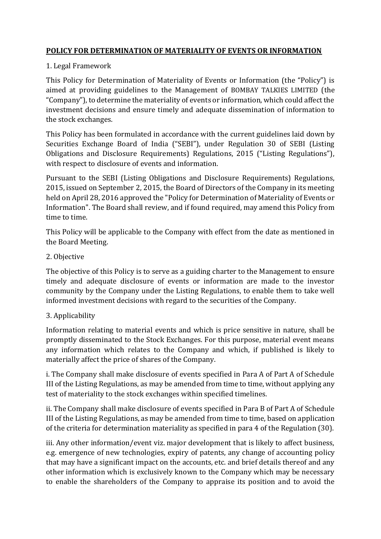# **POLICY FOR DETERMINATION OF MATERIALITY OF EVENTS OR INFORMATION**

## 1. Legal Framework

This Policy for Determination of Materiality of Events or Information (the "Policy") is aimed at providing guidelines to the Management of BOMBAY TALKIES LIMITED (the "Company"), to determine the materiality of events or information, which could affect the investment decisions and ensure timely and adequate dissemination of information to the stock exchanges.

This Policy has been formulated in accordance with the current guidelines laid down by Securities Exchange Board of India ("SEBI"), under Regulation 30 of SEBI (Listing Obligations and Disclosure Requirements) Regulations, 2015 ("Listing Regulations"), with respect to disclosure of events and information.

Pursuant to the SEBI (Listing Obligations and Disclosure Requirements) Regulations, 2015, issued on September 2, 2015, the Board of Directors of the Company in its meeting held on April 28, 2016 approved the "Policy for Determination of Materiality of Events or Information". The Board shall review, and if found required, may amend this Policy from time to time.

This Policy will be applicable to the Company with effect from the date as mentioned in the Board Meeting.

#### 2. Objective

The objective of this Policy is to serve as a guiding charter to the Management to ensure timely and adequate disclosure of events or information are made to the investor community by the Company under the Listing Regulations, to enable them to take well informed investment decisions with regard to the securities of the Company.

## 3. Applicability

Information relating to material events and which is price sensitive in nature, shall be promptly disseminated to the Stock Exchanges. For this purpose, material event means any information which relates to the Company and which, if published is likely to materially affect the price of shares of the Company.

i. The Company shall make disclosure of events specified in Para A of Part A of Schedule III of the Listing Regulations, as may be amended from time to time, without applying any test of materiality to the stock exchanges within specified timelines.

ii. The Company shall make disclosure of events specified in Para B of Part A of Schedule III of the Listing Regulations, as may be amended from time to time, based on application of the criteria for determination materiality as specified in para 4 of the Regulation (30).

iii. Any other information/event viz. major development that is likely to affect business, e.g. emergence of new technologies, expiry of patents, any change of accounting policy that may have a significant impact on the accounts, etc. and brief details thereof and any other information which is exclusively known to the Company which may be necessary to enable the shareholders of the Company to appraise its position and to avoid the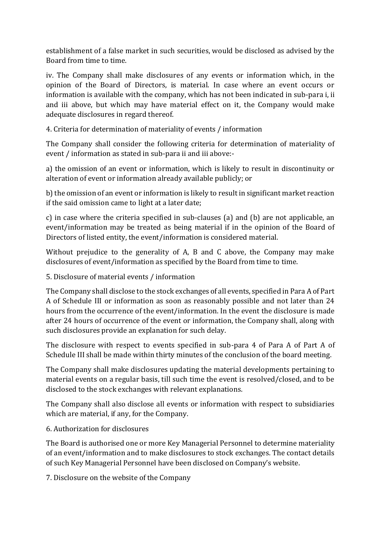establishment of a false market in such securities, would be disclosed as advised by the Board from time to time.

iv. The Company shall make disclosures of any events or information which, in the opinion of the Board of Directors, is material. In case where an event occurs or information is available with the company, which has not been indicated in sub-para i, ii and iii above, but which may have material effect on it, the Company would make adequate disclosures in regard thereof.

4. Criteria for determination of materiality of events / information

The Company shall consider the following criteria for determination of materiality of event / information as stated in sub-para ii and iii above:-

a) the omission of an event or information, which is likely to result in discontinuity or alteration of event or information already available publicly; or

b) the omission of an event or information is likely to result in significant market reaction if the said omission came to light at a later date;

c) in case where the criteria specified in sub-clauses (a) and (b) are not applicable, an event/information may be treated as being material if in the opinion of the Board of Directors of listed entity, the event/information is considered material.

Without prejudice to the generality of A, B and C above, the Company may make disclosures of event/information as specified by the Board from time to time.

5. Disclosure of material events / information

The Company shall disclose to the stock exchanges of all events, specified in Para A of Part A of Schedule III or information as soon as reasonably possible and not later than 24 hours from the occurrence of the event/information. In the event the disclosure is made after 24 hours of occurrence of the event or information, the Company shall, along with such disclosures provide an explanation for such delay.

The disclosure with respect to events specified in sub-para 4 of Para A of Part A of Schedule III shall be made within thirty minutes of the conclusion of the board meeting.

The Company shall make disclosures updating the material developments pertaining to material events on a regular basis, till such time the event is resolved/closed, and to be disclosed to the stock exchanges with relevant explanations.

The Company shall also disclose all events or information with respect to subsidiaries which are material, if any, for the Company.

## 6. Authorization for disclosures

The Board is authorised one or more Key Managerial Personnel to determine materiality of an event/information and to make disclosures to stock exchanges. The contact details of such Key Managerial Personnel have been disclosed on Company's website.

7. Disclosure on the website of the Company